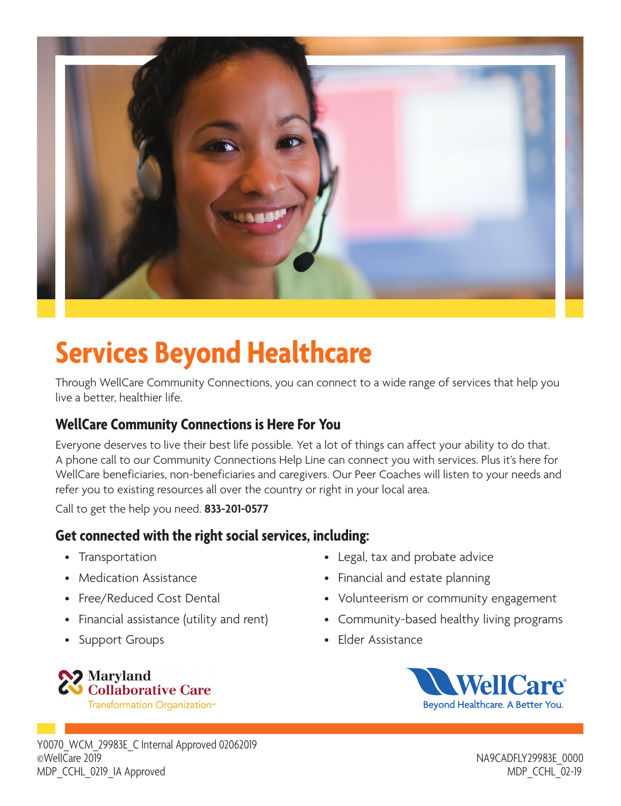

## **Services Beyond Healthcare**

Through WellCare Community Connections, you can connect to a wide range of services that help you live a better, healthier life.

## **WellCare Community Connections is Here For You**

Everyone deserves to live their best life possible. Yet a lot of things can affect your ability to do that. A phone call to our Community Connections Help Line can connect you with services. Plus it's here for WellCare beneficiaries, non-beneficiaries and caregivers. Our Peer Coaches will listen to your needs and refer you to existing resources all over the country or right in your local area.

Call to get the help you need. **833-201-0577**

## **Get connected with the right social services, including:**

- Transportation
- Medication Assistance
- Free/Reduced Cost Dental
- Financial assistance (utility and rent)
- Support Groups



- Legal, tax and probate advice
- Financial and estate planning
- Volunteerism or community engagement
- Community-based healthy living programs
- Elder Assistance